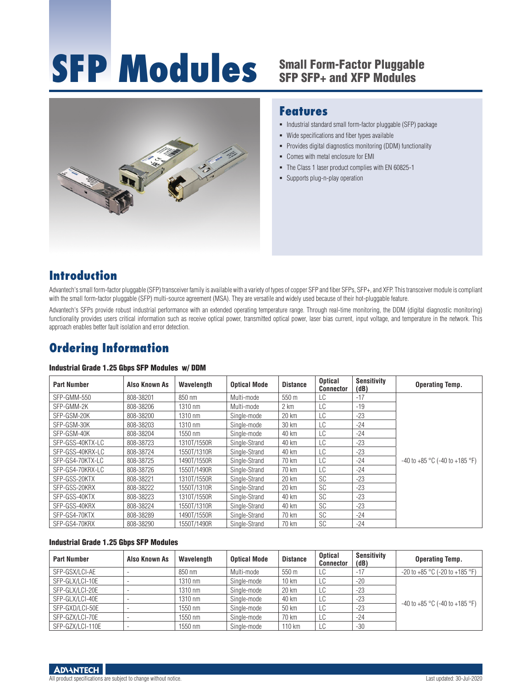# **SFP Modules** Small Form-Factor Pluggable



### **Features**

- $\blacksquare$  Industrial standard small form-factor pluggable (SFP) package
- Wide specifications and fiber types available
- Provides digital diagnostics monitoring (DDM) functionality
- Comes with metal enclosure for EMI
- The Class 1 laser product complies with EN 60825-1
- **Supports plug-n-play operation**

# **Introduction**

Advantech's small form-factor pluggable (SFP) transceiver family is available with a variety of types of copper SFP and fiber SFPs, SFP+, and XFP. This transceiver module is compliant with the small form-factor pluggable (SFP) multi-source agreement (MSA). They are versatile and widely used because of their hot-pluggable feature.

Advantech's SFPs provide robust industrial performance with an extended operating temperature range. Through real-time monitoring, the DDM (digital diagnostic monitoring) functionality provides users critical information such as receive optical power, transmitted optical power, laser bias current, input voltage, and temperature in the network. This approach enables better fault isolation and error detection.

# **Ordering Information**

#### Industrial Grade 1.25 Gbps SFP Modules w/ DDM

| <b>Part Number</b> | Also Known As | Wavelength  | <b>Optical Mode</b> | <b>Distance</b> | <b>Optical</b><br><b>Connector</b> | <b>Sensitivity</b><br>(dB) | <b>Operating Temp.</b>                  |
|--------------------|---------------|-------------|---------------------|-----------------|------------------------------------|----------------------------|-----------------------------------------|
| SFP-GMM-550        | 808-38201     | 850 nm      | Multi-mode          | 550 m           | LC                                 | $-17$                      |                                         |
| SFP-GMM-2K         | 808-38206     | 1310 nm     | Multi-mode          | 2 km            | LC                                 | $-19$                      |                                         |
| SFP-GSM-20K        | 808-38200     | 1310 nm     | Single-mode         | 20 km           | LC                                 | $-23$                      |                                         |
| SFP-GSM-30K        | 808-38203     | 1310 nm     | Single-mode         | 30 km           | LC                                 | $-24$                      |                                         |
| SFP-GSM-40K        | 808-38204     | 1550 nm     | Single-mode         | 40 km           | LC                                 | $-24$                      |                                         |
| SFP-GSS-40KTX-LC   | 808-38723     | 1310T/1550R | Single-Strand       | 40 km           | LC                                 | $-23$                      |                                         |
| SFP-GSS-40KRX-LC   | 808-38724     | 1550T/1310R | Single-Strand       | 40 km           | LC                                 | $-23$                      |                                         |
| SFP-GS4-70KTX-LC   | 808-38725     | 1490T/1550R | Single-Strand       | 70 km           | LC                                 | $-24$                      | $-40$ to $+85$ °C ( $-40$ to $+185$ °F) |
| SFP-GS4-70KRX-LC   | 808-38726     | 1550T/1490R | Single-Strand       | 70 km           | LC                                 | $-24$                      |                                         |
| SFP-GSS-20KTX      | 808-38221     | 1310T/1550R | Single-Strand       | 20 km           | <b>SC</b>                          | $-23$                      |                                         |
| SFP-GSS-20KRX      | 808-38222     | 1550T/1310R | Single-Strand       | 20 km           | <b>SC</b>                          | $-23$                      |                                         |
| SFP-GSS-40KTX      | 808-38223     | 1310T/1550R | Single-Strand       | 40 km           | <b>SC</b>                          | $-23$                      |                                         |
| SFP-GSS-40KRX      | 808-38224     | 1550T/1310R | Single-Strand       | 40 km           | <b>SC</b>                          | $-23$                      |                                         |
| SFP-GS4-70KTX      | 808-38289     | 1490T/1550R | Single-Strand       | 70 km           | <b>SC</b>                          | $-24$                      |                                         |
| SFP-GS4-70KRX      | 808-38290     | 1550T/1490R | Single-Strand       | 70 km           | <b>SC</b>                          | $-24$                      |                                         |

#### Industrial Grade 1.25 Gbps SFP Modules

| <b>Part Number</b> | Also Known As | Wavelength        | <b>Optical Mode</b> | <b>Distance</b> | <b>Optical</b><br><b>Connector</b> | <b>Sensitivity</b><br>(dB) | <b>Operating Temp.</b>                  |
|--------------------|---------------|-------------------|---------------------|-----------------|------------------------------------|----------------------------|-----------------------------------------|
| SFP-GSX/LCI-AE     |               | 850 nm            | Multi-mode          | 550 m           | LC                                 | $-17$                      | $-20$ to $+85$ °C ( $-20$ to $+185$ °F) |
| SFP-GLX/LCI-10E    |               | 1310 nm           | Single-mode         | $10 \text{ km}$ | LC                                 | $-20$                      |                                         |
| SFP-GLX/LCI-20E    |               | $1310 \text{ nm}$ | Single-mode         | 20 km           | LC                                 | $-23$                      |                                         |
| SFP-GLX/LCI-40E    |               | 1310 nm           | Single-mode         | 40 km           | LC                                 | $-23$                      |                                         |
| SFP-GXD/LCI-50E    |               | 1550 nm           | Single-mode         | 50 km           | LC                                 | $-23$                      | $-40$ to $+85$ °C ( $-40$ to $+185$ °F) |
| SFP-GZX/LCI-70E    |               | 1550 nm           | Single-mode         | 70 km           | LC                                 | $-24$                      |                                         |
| SFP-GZX/LCI-110E   |               | 1550 nm           | Single-mode         | 110 km          | LC.                                | $-30$                      |                                         |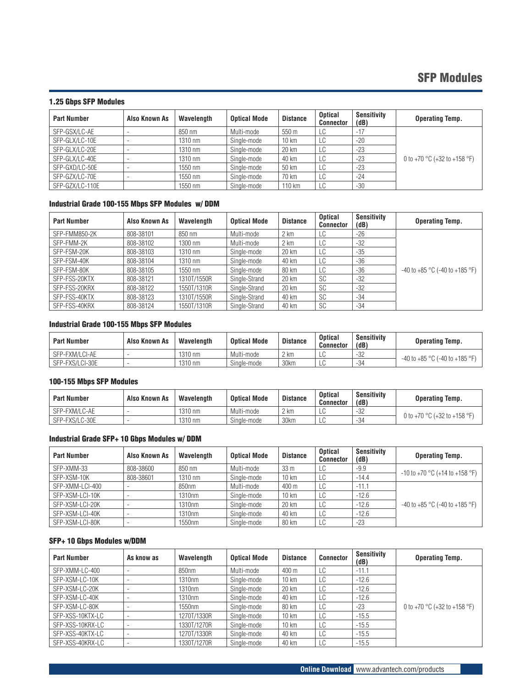## SFP Modules

#### 1.25 Gbps SFP Modules

| <b>Part Number</b> | Also Known As | Wavelength | <b>Optical Mode</b> | <b>Distance</b> | <b>Optical</b><br><b>Connector</b> | <b>Sensitivity</b><br>(dB) | <b>Operating Temp.</b>                           |
|--------------------|---------------|------------|---------------------|-----------------|------------------------------------|----------------------------|--------------------------------------------------|
| SFP-GSX/LC-AE      |               | 850 nm     | Multi-mode          | 550 m           | LC                                 | $-17$                      |                                                  |
| SFP-GLX/LC-10E     |               | 1310 nm    | Single-mode         | $10 \text{ km}$ | LC                                 | $-20$                      |                                                  |
| SFP-GLX/LC-20E     |               | 1310 nm    | Single-mode         | 20 km           | LC                                 | $-23$                      |                                                  |
| SFP-GLX/LC-40E     |               | 1310 nm    | Single-mode         | 40 km           | LC                                 | $-23$                      | 0 to +70 $^{\circ}$ C (+32 to +158 $^{\circ}$ F) |
| SFP-GXD/LC-50E     |               | 1550 nm    | Single-mode         | 50 km           | LC                                 | $-23$                      |                                                  |
| SFP-GZX/LC-70E     |               | 1550 nm    | Single-mode         | 70 km           | LC                                 | $-24$                      |                                                  |
| SFP-GZX/LC-110E    |               | 1550 nm    | Single-mode         | 110 km          | LC                                 | $-30$                      |                                                  |

#### Industrial Grade 100-155 Mbps SFP Modules w/ DDM

| <b>Part Number</b> | Also Known As | Wavelength  | <b>Optical Mode</b> | <b>Distance</b> | <b>Optical</b><br><b>Connector</b> | <b>Sensitivity</b><br>(dB) | <b>Operating Temp.</b>               |
|--------------------|---------------|-------------|---------------------|-----------------|------------------------------------|----------------------------|--------------------------------------|
| SFP-FMM850-2K      | 808-38101     | 850 nm      | Multi-mode          | 2 km            | LC                                 | $-26$                      |                                      |
| SFP-FMM-2K         | 808-38102     | 1300 nm     | Multi-mode          | 2 km            | LC                                 | $-32$                      |                                      |
| SFP-FSM-20K        | 808-38103     | 1310 nm     | Single-mode         | 20 km           | LC                                 | $-35$                      |                                      |
| SFP-FSM-40K        | 808-38104     | 1310 nm     | Single-mode         | 40 km           | LC                                 | $-36$                      |                                      |
| SFP-FSM-80K        | 808-38105     | 1550 nm     | Single-mode         | 80 km           | LC                                 | $-36$                      | $-40$ to $+85$ °C (-40 to $+185$ °F) |
| SFP-FSS-20KTX      | 808-38121     | 1310T/1550R | Single-Strand       | 20 km           | <b>SC</b>                          | $-32$                      |                                      |
| SFP-FSS-20KRX      | 808-38122     | 1550T/1310R | Single-Strand       | 20 km           | <b>SC</b>                          | $-32$                      |                                      |
| SFP-FSS-40KTX      | 808-38123     | 1310T/1550R | Single-Strand       | 40 km           | <b>SC</b>                          | $-34$                      |                                      |
| SFP-FSS-40KRX      | 808-38124     | 1550T/1310R | Single-Strand       | 40 km           | SC                                 | $-34$                      |                                      |

#### Industrial Grade 100-155 Mbps SFP Modules

| <b>Part Number</b> | Also Known As | Wavelength | <b>Optical Mode</b> | <b>Distance</b> | <b>Optical</b><br><b>Connector</b> | <b>Sensitivity</b><br>(dB) | <b>Operating Temp.</b>                  |
|--------------------|---------------|------------|---------------------|-----------------|------------------------------------|----------------------------|-----------------------------------------|
| SFP-FXM/LCI-AE     |               | 1310 nm    | Multi-mode          | 2 km            | ∟∪                                 | -32                        |                                         |
| SFP-FXS/LCI-30E    |               | 1310 nm    | Single-mode         | 30km            | ∟∪                                 | -34                        | $-40$ to $+85$ °C ( $-40$ to $+185$ °F) |

#### 100-155 Mbps SFP Modules

| <b>Part Number</b> | Also Known As | Wavelength | <b>Optical Mode</b> | <b>Distance</b> | <b>Optical</b><br><b>Connector</b> | <b>Sensitivity</b><br>(dB) | <b>Operating Temp.</b>       |
|--------------------|---------------|------------|---------------------|-----------------|------------------------------------|----------------------------|------------------------------|
| SFP-FXM/LC-AE      |               | 1310 nm    | Multi-mode          | 2 km            |                                    | $-32$                      | 0 to +70 °C (+32 to +158 °F) |
| SFP-FXS/LC-30E     |               | 1310 nm    | Single-mode         | 30km            |                                    | -34                        |                              |

#### Industrial Grade SFP+ 10 Gbps Modules w/ DDM

| <b>Part Number</b> | Also Known As | Wavelength | <b>Optical Mode</b> | <b>Distance</b>  | <b>Optical</b><br><b>Connector</b> | Sensitivity<br>(dB) | <b>Operating Temp.</b>                             |
|--------------------|---------------|------------|---------------------|------------------|------------------------------------|---------------------|----------------------------------------------------|
| SFP-XMM-33         | 808-38600     | 850 nm     | Multi-mode          | 33 <sub>m</sub>  | LC                                 | $-9.9$              |                                                    |
| SFP-XSM-10K        | 808-38601     | 1310 nm    | Single-mode         | 10 km            | LC                                 | $-14.4$             | $-10$ to $+70$ °C (+14 to $+158$ °F)               |
| SFP-XMM-LCI-400    |               | 850nm      | Multi-mode          | 400 m            | LC                                 | $-11.1$             |                                                    |
| SFP-XSM-LCI-10K    |               | 1310nm     | Single-mode         | $10 \mathrm{km}$ | LC                                 | $-12.6$             |                                                    |
| SFP-XSM-LCI-20K    |               | 1310nm     | Single-mode         | 20 km            | LC                                 | $-12.6$             | -40 to +85 $^{\circ}$ C (-40 to +185 $^{\circ}$ F) |
| SFP-XSM-LCI-40K    |               | 1310nm     | Single-mode         | 40 km            | LC                                 | $-12.6$             |                                                    |
| SFP-XSM-LCI-80K    |               | 1550nm     | Single-mode         | 80 km            | LC                                 | $-23$               |                                                    |

#### SFP+ 10 Gbps Modules w/DDM

| <b>Part Number</b> | As know as | Wavelength  | <b>Optical Mode</b> | <b>Distance</b> | <b>Connector</b> | <b>Sensitivity</b><br>(dB) | <b>Operating Temp.</b>                           |
|--------------------|------------|-------------|---------------------|-----------------|------------------|----------------------------|--------------------------------------------------|
| SFP-XMM-LC-400     |            | 850nm       | Multi-mode          | 400 m           | LC               | $-11.1$                    |                                                  |
| SFP-XSM-LC-10K     |            | 1310nm      | Single-mode         | $10 \text{ km}$ | LC               | $-12.6$                    |                                                  |
| SFP-XSM-LC-20K     |            | 1310nm      | Single-mode         | 20 km           | LC               | $-12.6$                    |                                                  |
| SFP-XSM-LC-40K     |            | 1310nm      | Single-mode         | 40 km           | LC               | $-12.6$                    |                                                  |
| SFP-XSM-LC-80K     |            | 1550nm      | Single-mode         | 80 km           | LC               | $-23$                      | 0 to +70 $^{\circ}$ C (+32 to +158 $^{\circ}$ F) |
| SFP-XSS-10KTX-LC   |            | 1270T/1330R | Single-mode         | $10 \text{ km}$ | LC               | $-15.5$                    |                                                  |
| SFP-XSS-10KRX-LC   |            | 1330T/1270R | Single-mode         | $10 \text{ km}$ | LC               | $-15.5$                    |                                                  |
| SFP-XSS-40KTX-LC   |            | 1270T/1330R | Single-mode         | 40 km           | LC               | $-15.5$                    |                                                  |
| SFP-XSS-40KRX-LC   |            | 1330T/1270R | Single-mode         | 40 km           | LC               | $-15.5$                    |                                                  |